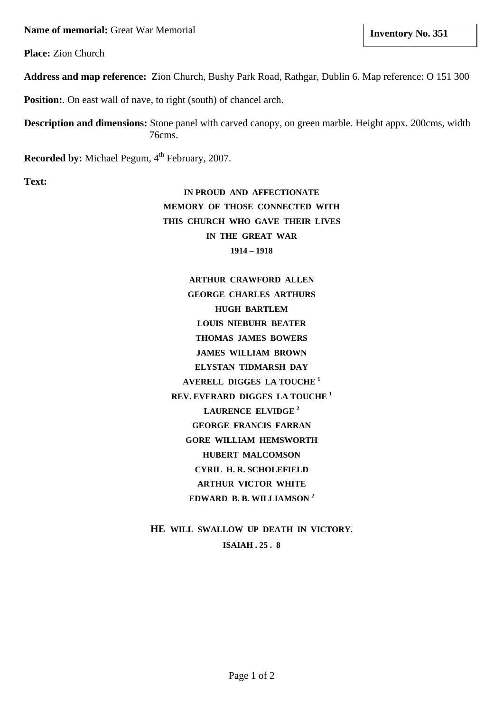**Name of memorial:** Great War Memorial **and Structure 1 and Structure 1 and Structure 1 and Structure 1 and Structure 1 and Structure 1 and Structure 1 and Structure 1 and Structure 1 and Structure 1 and Structure 1 and St** 

**Place:** Zion Church

**Address and map reference:** Zion Church, Bushy Park Road, Rathgar, Dublin 6. Map reference: O 151 300

**Position:** On east wall of nave, to right (south) of chancel arch.

**Description and dimensions:** Stone panel with carved canopy, on green marble. Height appx. 200cms, width 76cms.

**Recorded by:** Michael Pegum, 4<sup>th</sup> February, 2007.

**Text:**

**IN PROUD AND AFFECTIONATE MEMORY OF THOSE CONNECTED WITH THIS CHURCH WHO GAVE THEIR LIVES IN THE GREAT WAR 1914 – 1918**

**ARTHUR CRAWFORD ALLEN GEORGE CHARLES ARTHURS HUGH BARTLEM LOUIS NIEBUHR BEATER THOMAS JAMES BOWERS JAMES WILLIAM BROWN ELYSTAN TIDMARSH DAY AVERELL DIGGES LA TOUCHE 1 REV. EVERARD DIGGES LA TOUCHE <sup>1</sup> LAURENCE ELVIDGE <sup>2</sup> GEORGE FRANCIS FARRAN GORE WILLIAM HEMSWORTH HUBERT MALCOMSON CYRIL H. R. SCHOLEFIELD ARTHUR VICTOR WHITE EDWARD B. B. WILLIAMSON 2**

**HE WILL SWALLOW UP DEATH IN VICTORY. ISAIAH . 25 . 8**